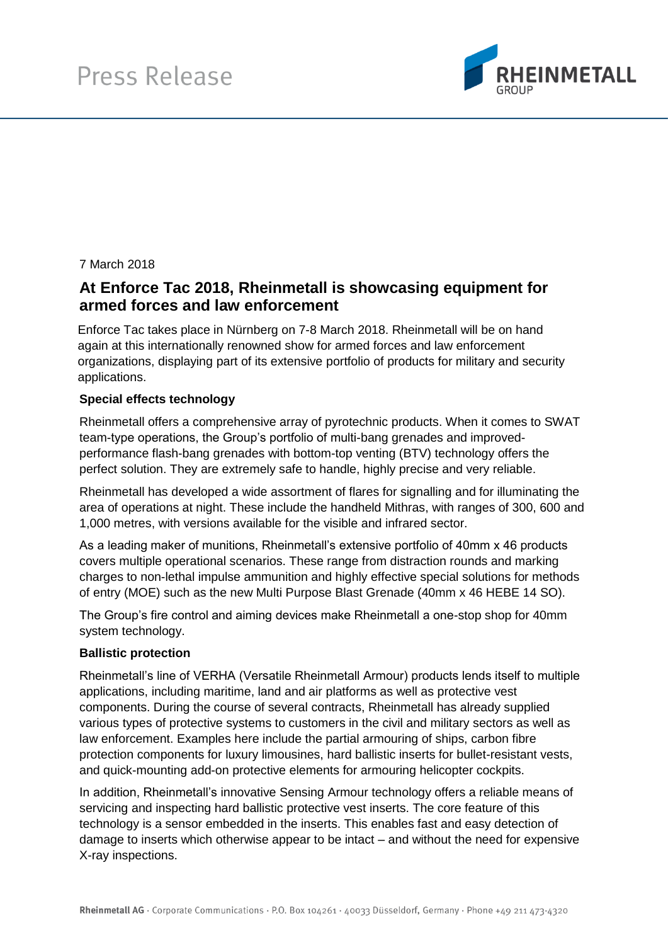

# 7 March 2018

# **At Enforce Tac 2018, Rheinmetall is showcasing equipment for armed forces and law enforcement**

Enforce Tac takes place in Nürnberg on 7-8 March 2018. Rheinmetall will be on hand again at this internationally renowned show for armed forces and law enforcement organizations, displaying part of its extensive portfolio of products for military and security applications.

### **Special effects technology**

Rheinmetall offers a comprehensive array of pyrotechnic products. When it comes to SWAT team-type operations, the Group's portfolio of multi-bang grenades and improvedperformance flash-bang grenades with bottom-top venting (BTV) technology offers the perfect solution. They are extremely safe to handle, highly precise and very reliable.

Rheinmetall has developed a wide assortment of flares for signalling and for illuminating the area of operations at night. These include the handheld Mithras, with ranges of 300, 600 and 1,000 metres, with versions available for the visible and infrared sector.

As a leading maker of munitions, Rheinmetall's extensive portfolio of 40mm x 46 products covers multiple operational scenarios. These range from distraction rounds and marking charges to non-lethal impulse ammunition and highly effective special solutions for methods of entry (MOE) such as the new Multi Purpose Blast Grenade (40mm x 46 HEBE 14 SO).

The Group's fire control and aiming devices make Rheinmetall a one-stop shop for 40mm system technology.

#### **Ballistic protection**

Rheinmetall's line of VERHA (Versatile Rheinmetall Armour) products lends itself to multiple applications, including maritime, land and air platforms as well as protective vest components. During the course of several contracts, Rheinmetall has already supplied various types of protective systems to customers in the civil and military sectors as well as law enforcement. Examples here include the partial armouring of ships, carbon fibre protection components for luxury limousines, hard ballistic inserts for bullet-resistant vests, and quick-mounting add-on protective elements for armouring helicopter cockpits.

In addition, Rheinmetall's innovative Sensing Armour technology offers a reliable means of servicing and inspecting hard ballistic protective vest inserts. The core feature of this technology is a sensor embedded in the inserts. This enables fast and easy detection of damage to inserts which otherwise appear to be intact – and without the need for expensive X-ray inspections.